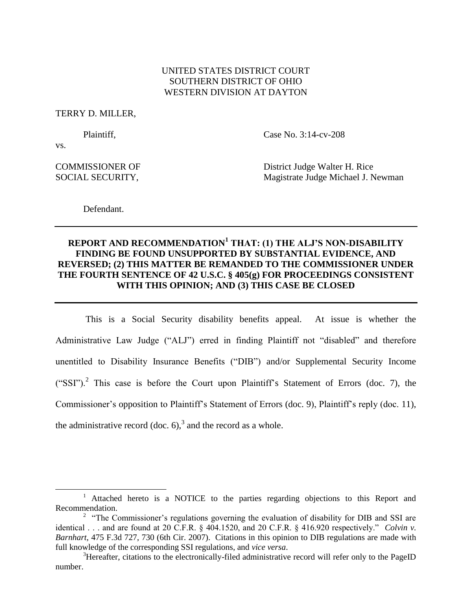# UNITED STATES DISTRICT COURT SOUTHERN DISTRICT OF OHIO WESTERN DIVISION AT DAYTON

TERRY D. MILLER,

Plaintiff, Case No. 3:14-cv-208

vs.

 $\overline{a}$ 

COMMISSIONER OF District Judge Walter H. Rice SOCIAL SECURITY, **Magistrate Judge Michael J. Newman** 

Defendant.

# **REPORT AND RECOMMENDATION<sup>1</sup> THAT: (1) THE ALJ'S NON-DISABILITY FINDING BE FOUND UNSUPPORTED BY SUBSTANTIAL EVIDENCE, AND REVERSED; (2) THIS MATTER BE REMANDED TO THE COMMISSIONER UNDER THE FOURTH SENTENCE OF 42 U.S.C. § 405(g) FOR PROCEEDINGS CONSISTENT WITH THIS OPINION; AND (3) THIS CASE BE CLOSED**

This is a Social Security disability benefits appeal. At issue is whether the Administrative Law Judge ("ALJ") erred in finding Plaintiff not "disabled" and therefore unentitled to Disability Insurance Benefits ("DIB") and/or Supplemental Security Income ("SSI").<sup>2</sup> This case is before the Court upon Plaintiff's Statement of Errors (doc. 7), the Commissioner's opposition to Plaintiff's Statement of Errors (doc. 9), Plaintiff's reply (doc. 11), the administrative record (doc. 6),<sup>3</sup> and the record as a whole.

<sup>&</sup>lt;sup>1</sup> Attached hereto is a NOTICE to the parties regarding objections to this Report and Recommendation.

<sup>&</sup>lt;sup>2</sup> "The Commissioner's regulations governing the evaluation of disability for DIB and SSI are identical . . . and are found at 20 C.F.R. § 404.1520, and 20 C.F.R. § 416.920 respectively." *Colvin v. Barnhart*, 475 F.3d 727, 730 (6th Cir. 2007). Citations in this opinion to DIB regulations are made with full knowledge of the corresponding SSI regulations, and *vice versa*.

<sup>&</sup>lt;sup>3</sup>Hereafter, citations to the electronically-filed administrative record will refer only to the PageID number.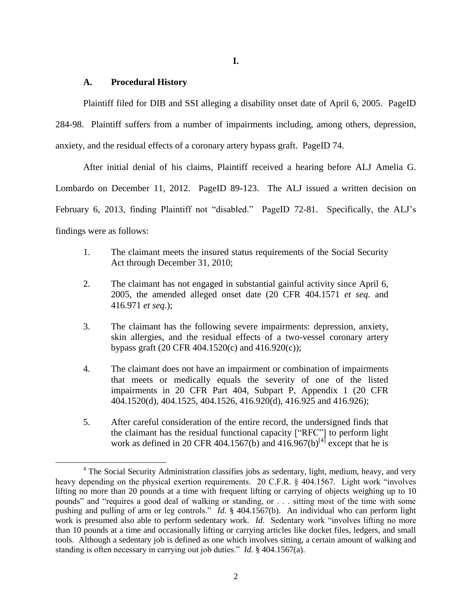**I.**

## **A. Procedural History**

 $\overline{\phantom{a}}$ 

Plaintiff filed for DIB and SSI alleging a disability onset date of April 6, 2005. PageID

284-98. Plaintiff suffers from a number of impairments including, among others, depression, anxiety, and the residual effects of a coronary artery bypass graft. PageID 74.

After initial denial of his claims, Plaintiff received a hearing before ALJ Amelia G. Lombardo on December 11, 2012. PageID 89-123. The ALJ issued a written decision on February 6, 2013, finding Plaintiff not "disabled." PageID 72-81. Specifically, the ALJ's findings were as follows:

- 1. The claimant meets the insured status requirements of the Social Security Act through December 31, 2010;
- 2. The claimant has not engaged in substantial gainful activity since April 6, 2005, the amended alleged onset date (20 CFR 404.1571 *et seq.* and 416.971 *et seq*.);
- 3. The claimant has the following severe impairments: depression, anxiety, skin allergies, and the residual effects of a two-vessel coronary artery bypass graft (20 CFR 404.1520(c) and 416.920(c));
- 4. The claimant does not have an impairment or combination of impairments that meets or medically equals the severity of one of the listed impairments in 20 CFR Part 404, Subpart P, Appendix 1 (20 CFR 404.1520(d), 404.1525, 404.1526, 416.920(d), 416.925 and 416.926);
- 5. After careful consideration of the entire record, the undersigned finds that the claimant has the residual functional capacity ["RFC"] to perform light work as defined in 20 CFR 404.1567(b) and  $416.967(b)^{[4]}$  except that he is

<sup>&</sup>lt;sup>4</sup> The Social Security Administration classifies jobs as sedentary, light, medium, heavy, and very heavy depending on the physical exertion requirements. 20 C.F.R. § 404.1567. Light work "involves lifting no more than 20 pounds at a time with frequent lifting or carrying of objects weighing up to 10 pounds" and "requires a good deal of walking or standing, or . . . sitting most of the time with some pushing and pulling of arm or leg controls." *Id.* § 404.1567(b). An individual who can perform light work is presumed also able to perform sedentary work. *Id*. Sedentary work "involves lifting no more than 10 pounds at a time and occasionally lifting or carrying articles like docket files, ledgers, and small tools. Although a sedentary job is defined as one which involves sitting, a certain amount of walking and standing is often necessary in carrying out job duties." *Id.* § 404.1567(a).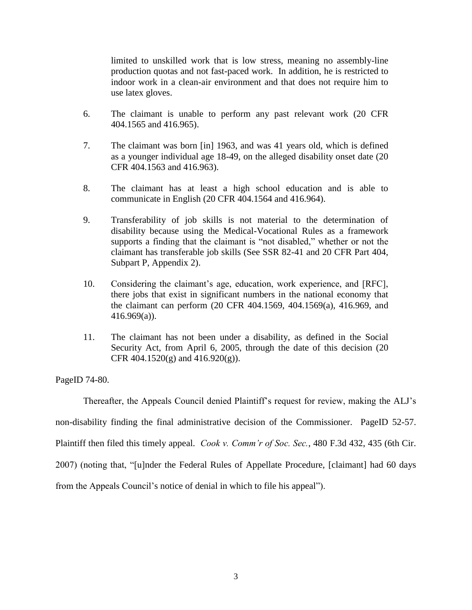limited to unskilled work that is low stress, meaning no assembly-line production quotas and not fast-paced work. In addition, he is restricted to indoor work in a clean-air environment and that does not require him to use latex gloves.

- 6. The claimant is unable to perform any past relevant work (20 CFR 404.1565 and 416.965).
- 7. The claimant was born [in] 1963, and was 41 years old, which is defined as a younger individual age 18-49, on the alleged disability onset date (20 CFR 404.1563 and 416.963).
- 8. The claimant has at least a high school education and is able to communicate in English (20 CFR 404.1564 and 416.964).
- 9. Transferability of job skills is not material to the determination of disability because using the Medical-Vocational Rules as a framework supports a finding that the claimant is "not disabled," whether or not the claimant has transferable job skills (See SSR 82-41 and 20 CFR Part 404, Subpart P, Appendix 2).
- 10. Considering the claimant's age, education, work experience, and [RFC], there jobs that exist in significant numbers in the national economy that the claimant can perform (20 CFR 404.1569, 404.1569(a), 416.969, and  $416.969(a)$ ).
- 11. The claimant has not been under a disability, as defined in the Social Security Act, from April 6, 2005, through the date of this decision (20 CFR 404.1520(g) and  $416.920(g)$ .

PageID 74-80.

Thereafter, the Appeals Council denied Plaintiff's request for review, making the ALJ's non-disability finding the final administrative decision of the Commissioner. PageID 52-57. Plaintiff then filed this timely appeal. *Cook v. Comm'r of Soc. Sec.*, 480 F.3d 432, 435 (6th Cir. 2007) (noting that, "[u]nder the Federal Rules of Appellate Procedure, [claimant] had 60 days from the Appeals Council's notice of denial in which to file his appeal").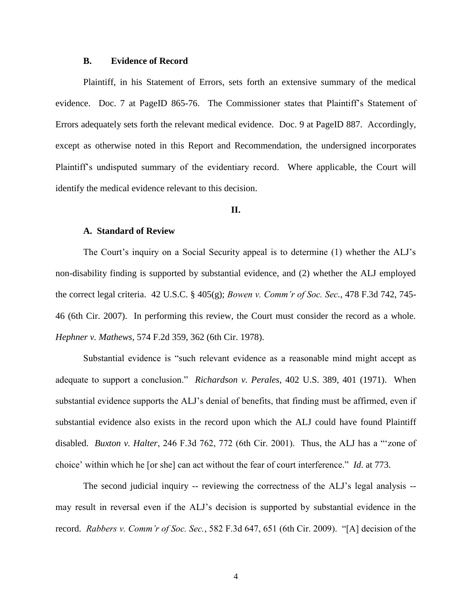### **B. Evidence of Record**

Plaintiff, in his Statement of Errors, sets forth an extensive summary of the medical evidence. Doc. 7 at PageID 865-76. The Commissioner states that Plaintiff's Statement of Errors adequately sets forth the relevant medical evidence. Doc. 9 at PageID 887. Accordingly, except as otherwise noted in this Report and Recommendation, the undersigned incorporates Plaintiff's undisputed summary of the evidentiary record. Where applicable, the Court will identify the medical evidence relevant to this decision.

### **II.**

## **A. Standard of Review**

The Court's inquiry on a Social Security appeal is to determine (1) whether the ALJ's non-disability finding is supported by substantial evidence, and (2) whether the ALJ employed the correct legal criteria. 42 U.S.C. § 405(g); *Bowen v. Comm'r of Soc. Sec.*, 478 F.3d 742, 745- 46 (6th Cir. 2007). In performing this review, the Court must consider the record as a whole. *Hephner v. Mathews*, 574 F.2d 359, 362 (6th Cir. 1978).

Substantial evidence is "such relevant evidence as a reasonable mind might accept as adequate to support a conclusion." *Richardson v. Perales*, 402 U.S. 389, 401 (1971). When substantial evidence supports the ALJ's denial of benefits, that finding must be affirmed, even if substantial evidence also exists in the record upon which the ALJ could have found Plaintiff disabled. *Buxton v. Halter*, 246 F.3d 762, 772 (6th Cir. 2001). Thus, the ALJ has a "'zone of choice' within which he [or she] can act without the fear of court interference." *Id*. at 773.

The second judicial inquiry -- reviewing the correctness of the ALJ's legal analysis - may result in reversal even if the ALJ's decision is supported by substantial evidence in the record. *Rabbers v. Comm'r of Soc. Sec.*, 582 F.3d 647, 651 (6th Cir. 2009). "[A] decision of the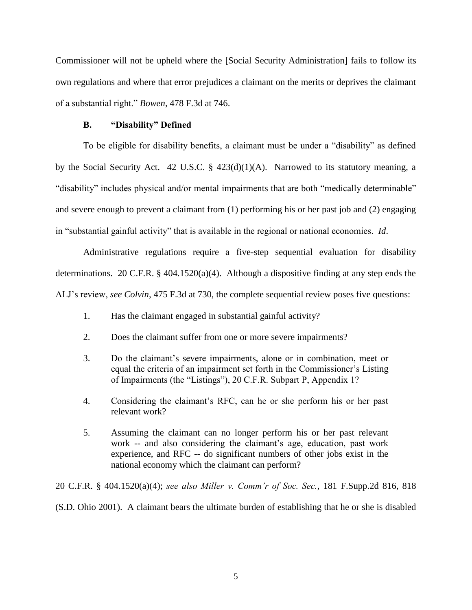Commissioner will not be upheld where the [Social Security Administration] fails to follow its own regulations and where that error prejudices a claimant on the merits or deprives the claimant of a substantial right." *Bowen*, 478 F.3d at 746.

## **B. "Disability" Defined**

To be eligible for disability benefits, a claimant must be under a "disability" as defined by the Social Security Act. 42 U.S.C. § 423(d)(1)(A). Narrowed to its statutory meaning, a "disability" includes physical and/or mental impairments that are both "medically determinable" and severe enough to prevent a claimant from (1) performing his or her past job and (2) engaging in "substantial gainful activity" that is available in the regional or national economies. *Id*.

Administrative regulations require a five-step sequential evaluation for disability determinations. 20 C.F.R.  $\S$  404.1520(a)(4). Although a dispositive finding at any step ends the ALJ's review, *see Colvin*, 475 F.3d at 730, the complete sequential review poses five questions:

- 1. Has the claimant engaged in substantial gainful activity?
- 2. Does the claimant suffer from one or more severe impairments?
- 3. Do the claimant's severe impairments, alone or in combination, meet or equal the criteria of an impairment set forth in the Commissioner's Listing of Impairments (the "Listings"), 20 C.F.R. Subpart P, Appendix 1?
- 4. Considering the claimant's RFC, can he or she perform his or her past relevant work?
- 5. Assuming the claimant can no longer perform his or her past relevant work -- and also considering the claimant's age, education, past work experience, and RFC -- do significant numbers of other jobs exist in the national economy which the claimant can perform?

20 C.F.R. § 404.1520(a)(4); *see also Miller v. Comm'r of Soc. Sec.*, 181 F.Supp.2d 816, 818 (S.D. Ohio 2001). A claimant bears the ultimate burden of establishing that he or she is disabled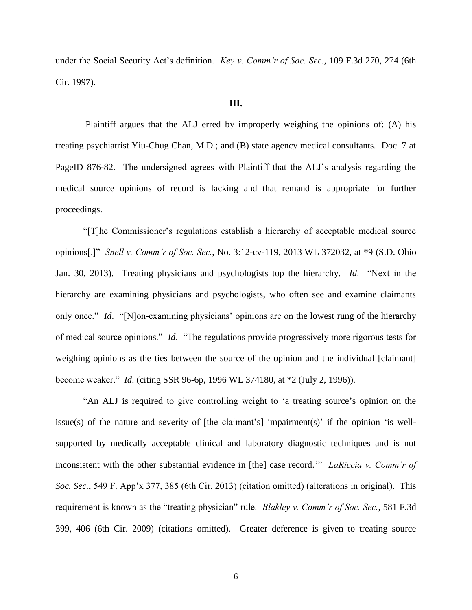under the Social Security Act's definition. *Key v. Comm'r of Soc. Sec.*, 109 F.3d 270, 274 (6th Cir. 1997).

## **III.**

Plaintiff argues that the ALJ erred by improperly weighing the opinions of: (A) his treating psychiatrist Yiu-Chug Chan, M.D.; and (B) state agency medical consultants. Doc. 7 at PageID 876-82. The undersigned agrees with Plaintiff that the ALJ's analysis regarding the medical source opinions of record is lacking and that remand is appropriate for further proceedings.

"[T]he Commissioner's regulations establish a hierarchy of acceptable medical source opinions[.]" *Snell v. Comm'r of Soc. Sec.*, No. 3:12-cv-119, 2013 WL 372032, at \*9 (S.D. Ohio Jan. 30, 2013). Treating physicians and psychologists top the hierarchy. *Id*. "Next in the hierarchy are examining physicians and psychologists, who often see and examine claimants only once." *Id*. "[N]on-examining physicians' opinions are on the lowest rung of the hierarchy of medical source opinions." *Id*. "The regulations provide progressively more rigorous tests for weighing opinions as the ties between the source of the opinion and the individual [claimant] become weaker." *Id*. (citing SSR 96-6p, 1996 WL 374180, at \*2 (July 2, 1996)).

"An ALJ is required to give controlling weight to 'a treating source's opinion on the issue(s) of the nature and severity of [the claimant's] impairment(s)' if the opinion 'is wellsupported by medically acceptable clinical and laboratory diagnostic techniques and is not inconsistent with the other substantial evidence in [the] case record.'" *LaRiccia v. Comm'r of Soc. Sec.*, 549 F. App'x 377, 385 (6th Cir. 2013) (citation omitted) (alterations in original). This requirement is known as the "treating physician" rule. *Blakley v. Comm'r of Soc. Sec.*, 581 F.3d 399, 406 (6th Cir. 2009) (citations omitted). Greater deference is given to treating source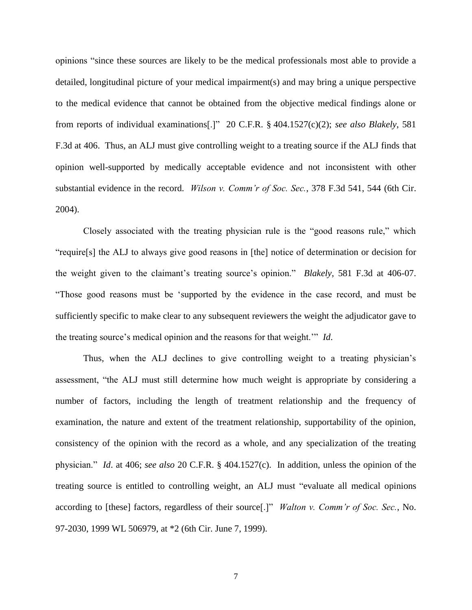opinions "since these sources are likely to be the medical professionals most able to provide a detailed, longitudinal picture of your medical impairment(s) and may bring a unique perspective to the medical evidence that cannot be obtained from the objective medical findings alone or from reports of individual examinations[.]" 20 C.F.R. § 404.1527(c)(2); *see also Blakely*, 581 F.3d at 406. Thus, an ALJ must give controlling weight to a treating source if the ALJ finds that opinion well-supported by medically acceptable evidence and not inconsistent with other substantial evidence in the record. *Wilson v. Comm'r of Soc. Sec.*, 378 F.3d 541, 544 (6th Cir. 2004).

Closely associated with the treating physician rule is the "good reasons rule," which "require[s] the ALJ to always give good reasons in [the] notice of determination or decision for the weight given to the claimant's treating source's opinion." *Blakely*, 581 F.3d at 406-07. "Those good reasons must be 'supported by the evidence in the case record, and must be sufficiently specific to make clear to any subsequent reviewers the weight the adjudicator gave to the treating source's medical opinion and the reasons for that weight.'" *Id*.

Thus, when the ALJ declines to give controlling weight to a treating physician's assessment, "the ALJ must still determine how much weight is appropriate by considering a number of factors, including the length of treatment relationship and the frequency of examination, the nature and extent of the treatment relationship, supportability of the opinion, consistency of the opinion with the record as a whole, and any specialization of the treating physician." *Id*. at 406; *see also* 20 C.F.R. § 404.1527(c). In addition, unless the opinion of the treating source is entitled to controlling weight, an ALJ must "evaluate all medical opinions according to [these] factors, regardless of their source[.]" *Walton v. Comm'r of Soc. Sec.*, No. 97-2030, 1999 WL 506979, at \*2 (6th Cir. June 7, 1999).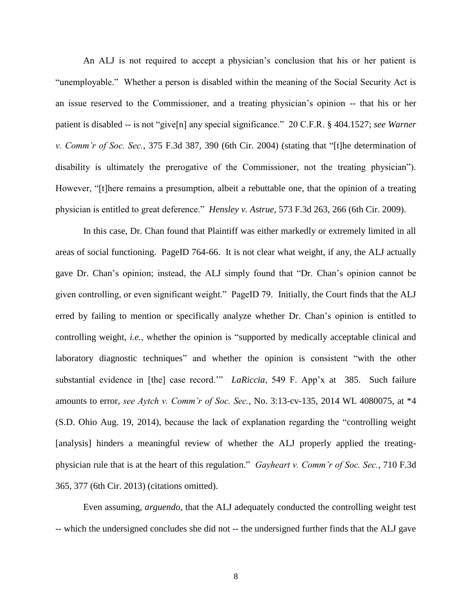An ALJ is not required to accept a physician's conclusion that his or her patient is "unemployable." Whether a person is disabled within the meaning of the Social Security Act is an issue reserved to the Commissioner, and a treating physician's opinion -- that his or her patient is disabled -- is not "give[n] any special significance." 20 C.F.R. § 404.1527; *see Warner v. Comm'r of Soc. Sec.*, 375 F.3d 387, 390 (6th Cir. 2004) (stating that "[t]he determination of disability is ultimately the prerogative of the Commissioner, not the treating physician"). However, "[t]here remains a presumption, albeit a rebuttable one, that the opinion of a treating physician is entitled to great deference." *Hensley v. Astrue*, 573 F.3d 263, 266 (6th Cir. 2009).

In this case, Dr. Chan found that Plaintiff was either markedly or extremely limited in all areas of social functioning. PageID 764-66. It is not clear what weight, if any, the ALJ actually gave Dr. Chan's opinion; instead, the ALJ simply found that "Dr. Chan's opinion cannot be given controlling, or even significant weight." PageID 79. Initially, the Court finds that the ALJ erred by failing to mention or specifically analyze whether Dr. Chan's opinion is entitled to controlling weight, *i.e.*, whether the opinion is "supported by medically acceptable clinical and laboratory diagnostic techniques" and whether the opinion is consistent "with the other substantial evidence in [the] case record.'" *LaRiccia*, 549 F. App'x at 385. Such failure amounts to error, *see Aytch v. Comm'r of Soc. Sec.*, No. 3:13-cv-135, 2014 WL 4080075, at \*4 (S.D. Ohio Aug. 19, 2014), because the lack of explanation regarding the "controlling weight [analysis] hinders a meaningful review of whether the ALJ properly applied the treatingphysician rule that is at the heart of this regulation." *Gayheart v. Comm'r of Soc. Sec.*, 710 F.3d 365, 377 (6th Cir. 2013) (citations omitted).

Even assuming, *arguendo*, that the ALJ adequately conducted the controlling weight test -- which the undersigned concludes she did not -- the undersigned further finds that the ALJ gave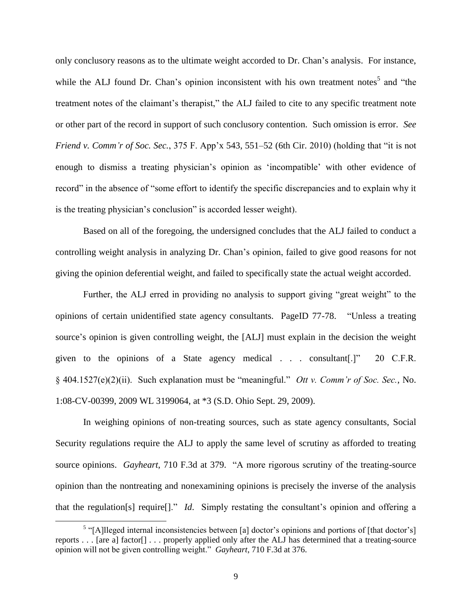only conclusory reasons as to the ultimate weight accorded to Dr. Chan's analysis. For instance, while the ALJ found Dr. Chan's opinion inconsistent with his own treatment notes<sup>5</sup> and "the treatment notes of the claimant's therapist," the ALJ failed to cite to any specific treatment note or other part of the record in support of such conclusory contention. Such omission is error. *See Friend v. Comm'r of Soc. Sec.*, 375 F. App'x 543, 551–52 (6th Cir. 2010) (holding that "it is not enough to dismiss a treating physician's opinion as 'incompatible' with other evidence of record" in the absence of "some effort to identify the specific discrepancies and to explain why it is the treating physician's conclusion" is accorded lesser weight).

Based on all of the foregoing, the undersigned concludes that the ALJ failed to conduct a controlling weight analysis in analyzing Dr. Chan's opinion, failed to give good reasons for not giving the opinion deferential weight, and failed to specifically state the actual weight accorded.

Further, the ALJ erred in providing no analysis to support giving "great weight" to the opinions of certain unidentified state agency consultants. PageID 77-78. "Unless a treating source's opinion is given controlling weight, the [ALJ] must explain in the decision the weight given to the opinions of a State agency medical . . . consultant[.]" 20 C.F.R. § 404.1527(e)(2)(ii). Such explanation must be "meaningful." *Ott v. Comm'r of Soc. Sec.*, No. 1:08-CV-00399, 2009 WL 3199064, at \*3 (S.D. Ohio Sept. 29, 2009).

In weighing opinions of non-treating sources, such as state agency consultants, Social Security regulations require the ALJ to apply the same level of scrutiny as afforded to treating source opinions. *Gayheart*, 710 F.3d at 379. "A more rigorous scrutiny of the treating-source opinion than the nontreating and nonexamining opinions is precisely the inverse of the analysis that the regulation[s] require[]." *Id*. Simply restating the consultant's opinion and offering a

 $\overline{a}$ 

<sup>&</sup>lt;sup>5</sup> "[A]lleged internal inconsistencies between [a] doctor's opinions and portions of [that doctor's] reports . . . [are a] factor[] . . . properly applied only after the ALJ has determined that a treating-source opinion will not be given controlling weight." *Gayheart*, 710 F.3d at 376.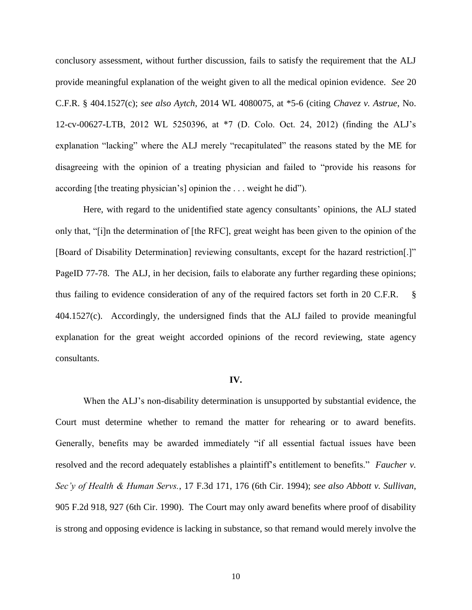conclusory assessment, without further discussion, fails to satisfy the requirement that the ALJ provide meaningful explanation of the weight given to all the medical opinion evidence. *See* 20 C.F.R. § 404.1527(c); *see also Aytch*, 2014 WL 4080075, at \*5-6 (citing *Chavez v. Astrue*, No. 12-cv-00627-LTB, 2012 WL 5250396, at \*7 (D. Colo. Oct. 24, 2012) (finding the ALJ's explanation "lacking" where the ALJ merely "recapitulated" the reasons stated by the ME for disagreeing with the opinion of a treating physician and failed to "provide his reasons for according [the treating physician's] opinion the . . . weight he did").

Here, with regard to the unidentified state agency consultants' opinions, the ALJ stated only that, "[i]n the determination of [the RFC], great weight has been given to the opinion of the [Board of Disability Determination] reviewing consultants, except for the hazard restriction[.]" PageID 77-78. The ALJ, in her decision, fails to elaborate any further regarding these opinions; thus failing to evidence consideration of any of the required factors set forth in 20 C.F.R. § 404.1527(c). Accordingly, the undersigned finds that the ALJ failed to provide meaningful explanation for the great weight accorded opinions of the record reviewing, state agency consultants.

### **IV.**

When the ALJ's non-disability determination is unsupported by substantial evidence, the Court must determine whether to remand the matter for rehearing or to award benefits. Generally, benefits may be awarded immediately "if all essential factual issues have been resolved and the record adequately establishes a plaintiff's entitlement to benefits." *Faucher v. Sec'y of Health & Human Servs.*, 17 F.3d 171, 176 (6th Cir. 1994); *see also Abbott v. Sullivan*, 905 F.2d 918, 927 (6th Cir. 1990). The Court may only award benefits where proof of disability is strong and opposing evidence is lacking in substance, so that remand would merely involve the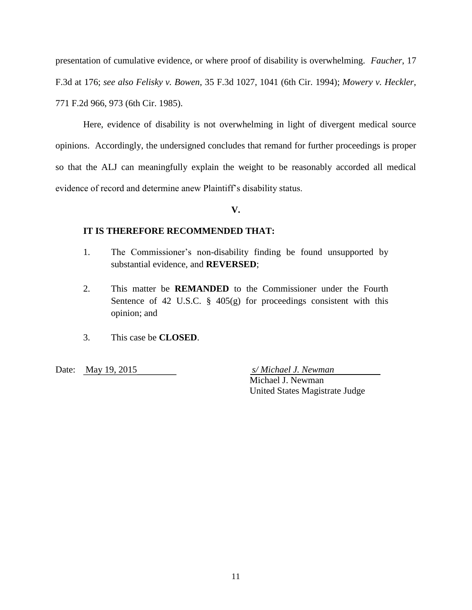presentation of cumulative evidence, or where proof of disability is overwhelming. *Faucher*, 17 F.3d at 176; *see also Felisky v. Bowen*, 35 F.3d 1027, 1041 (6th Cir. 1994); *Mowery v. Heckler*, 771 F.2d 966, 973 (6th Cir. 1985).

Here, evidence of disability is not overwhelming in light of divergent medical source opinions. Accordingly, the undersigned concludes that remand for further proceedings is proper so that the ALJ can meaningfully explain the weight to be reasonably accorded all medical evidence of record and determine anew Plaintiff's disability status.

**V.**

## **IT IS THEREFORE RECOMMENDED THAT:**

- 1. The Commissioner's non-disability finding be found unsupported by substantial evidence, and **REVERSED**;
- 2. This matter be **REMANDED** to the Commissioner under the Fourth Sentence of 42 U.S.C.  $\S$  405(g) for proceedings consistent with this opinion; and
- 3. This case be **CLOSED**.

Date: May 19, 2015 *s/ Michael J. Newman*

Michael J. Newman United States Magistrate Judge